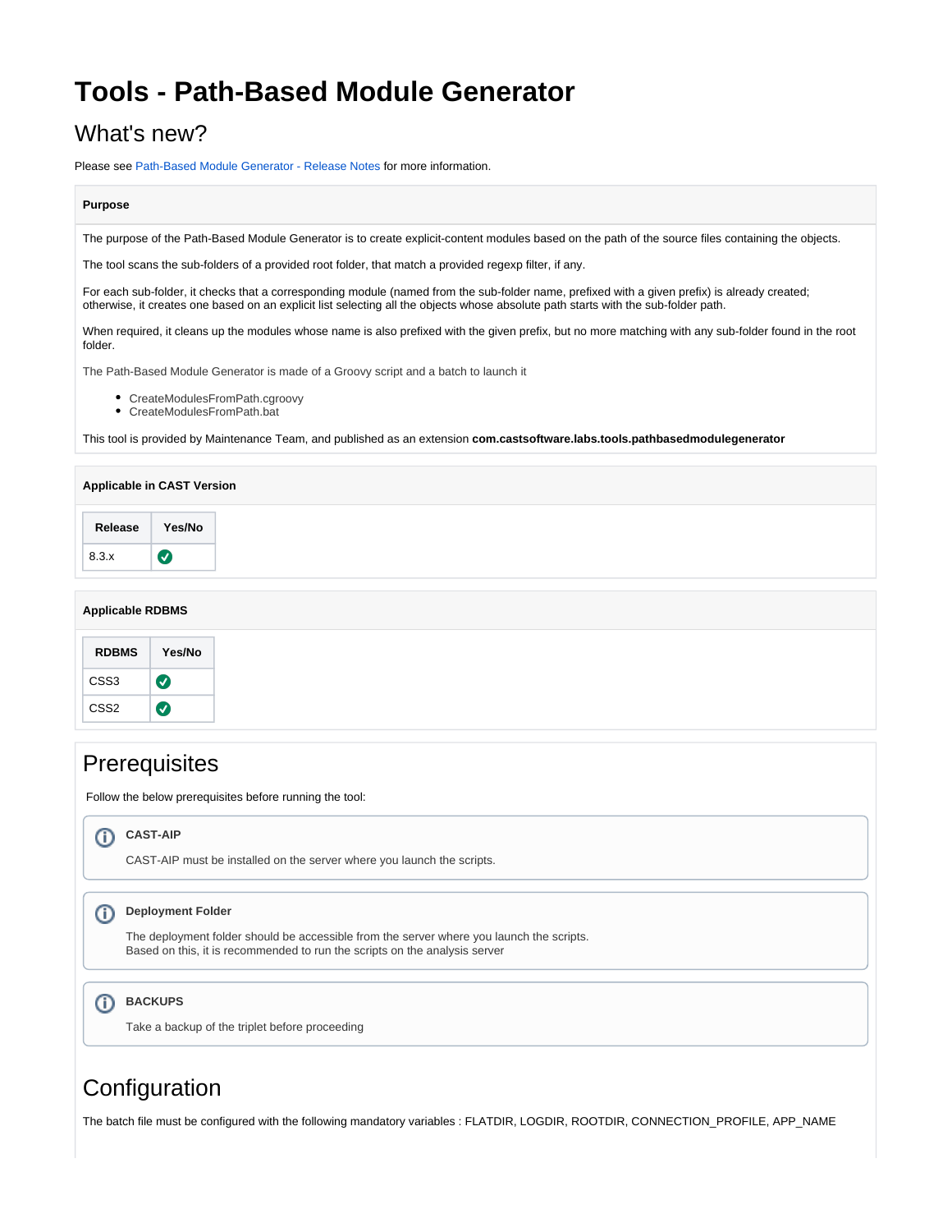# **Tools - Path-Based Module Generator**

## What's new?

Please see [Path-Based Module Generator - Release Notes](https://doc.castsoftware.com/display/TG/Tools+-+Path-Based+Module+Generator+-+Release+Notes) for more information.

#### **Purpose**

The purpose of the Path-Based Module Generator is to create explicit-content modules based on the path of the source files containing the objects.

The tool scans the sub-folders of a provided root folder, that match a provided regexp filter, if any.

For each sub-folder, it checks that a corresponding module (named from the sub-folder name, prefixed with a given prefix) is already created; otherwise, it creates one based on an explicit list selecting all the objects whose absolute path starts with the sub-folder path.

When required, it cleans up the modules whose name is also prefixed with the given prefix, but no more matching with any sub-folder found in the root folder.

The Path-Based Module Generator is made of a Groovy script and a batch to launch it

- CreateModulesFromPath.cgroovy
- CreateModulesFromPath.bat

This tool is provided by Maintenance Team, and published as an extension **com.castsoftware.labs.tools.pathbasedmodulegenerator**

## **Applicable in CAST Version Release Yes/No**  $\bullet$ 8.3.x

#### **Applicable RDBMS**

| <b>RDBMS</b> | Yes/No |
|--------------|--------|
| CSS3         | ✓      |
| CSS2         |        |

| <b>Prerequisites</b><br>Follow the below prerequisites before running the tool: |                                                                                                                                                                                                    |  |  |
|---------------------------------------------------------------------------------|----------------------------------------------------------------------------------------------------------------------------------------------------------------------------------------------------|--|--|
|                                                                                 |                                                                                                                                                                                                    |  |  |
| Œ                                                                               | <b>Deployment Folder</b><br>The deployment folder should be accessible from the server where you launch the scripts.<br>Based on this, it is recommended to run the scripts on the analysis server |  |  |
|                                                                                 | <b>BACKUPS</b><br>Take a backup of the triplet before proceeding                                                                                                                                   |  |  |
| Configuration                                                                   |                                                                                                                                                                                                    |  |  |
|                                                                                 | The batch file must be configured with the following mandatory variables: FLATDIR, LOGDIR, ROOTDIR, CONNECTION_PROFILE, APP_NAME                                                                   |  |  |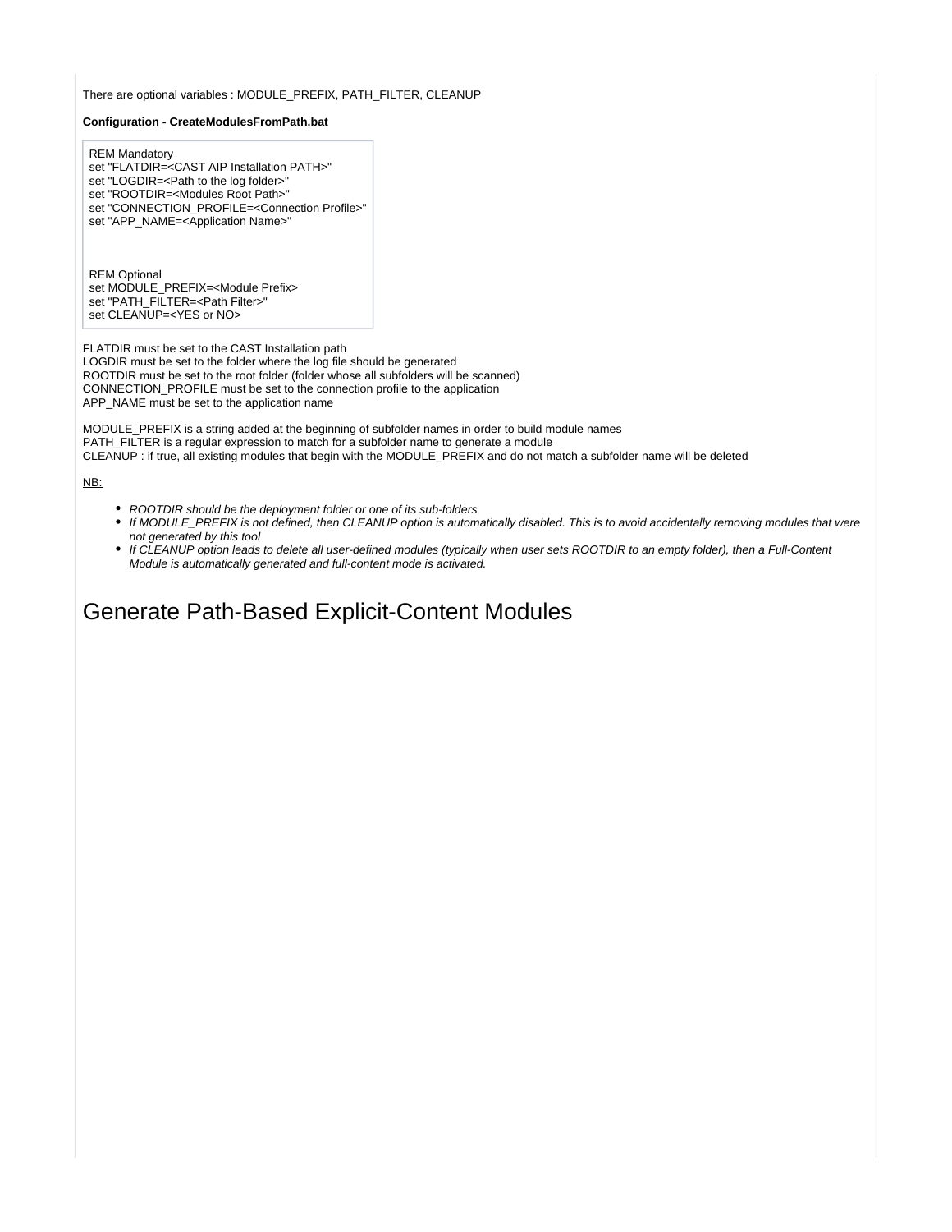There are optional variables : MODULE\_PREFIX, PATH\_FILTER, CLEANUP

#### **Configuration - CreateModulesFromPath.bat**

REM Mandatory set "FLATDIR=<CAST AIP Installation PATH>" set "LOGDIR=<Path to the log folder>' set "ROOTDIR=<Modules Root Path>" set "CONNECTION\_PROFILE=<Connection Profile>" set "APP\_NAME=<Application Name>"

REM Optional set MODULE\_PREFIX=<Module Prefix> set "PATH\_FILTER=<Path Filter>" set CLEANUP=<YES or NO>

FLATDIR must be set to the CAST Installation path LOGDIR must be set to the folder where the log file should be generated ROOTDIR must be set to the root folder (folder whose all subfolders will be scanned) CONNECTION\_PROFILE must be set to the connection profile to the application APP\_NAME must be set to the application name

MODULE\_PREFIX is a string added at the beginning of subfolder names in order to build module names PATH\_FILTER is a regular expression to match for a subfolder name to generate a module CLEANUP : if true, all existing modules that begin with the MODULE\_PREFIX and do not match a subfolder name will be deleted

#### NB:

- ROOTDIR should be the deployment folder or one of its sub-folders
- If MODULE\_PREFIX is not defined, then CLEANUP option is automatically disabled. This is to avoid accidentally removing modules that were not generated by this tool
- If CLEANUP option leads to delete all user-defined modules (typically when user sets ROOTDIR to an empty folder), then a Full-Content Module is automatically generated and full-content mode is activated.

### Generate Path-Based Explicit-Content Modules